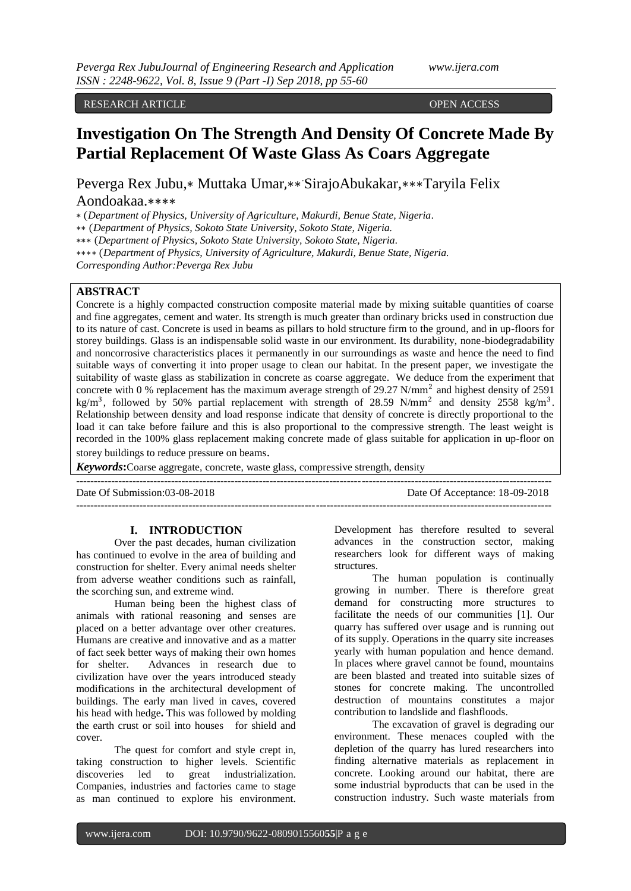# RESEARCH ARTICLE **OPEN ACCESS**

# **Investigation On The Strength And Density Of Concrete Made By Partial Replacement Of Waste Glass As Coars Aggregate**

Peverga Rex Jubu,∗ Muttaka Umar,∗∗ . SirajoAbukakar,∗∗∗Taryila Felix

# Aondoakaa.∗∗∗∗

∗ (*Department of Physics, University of Agriculture, Makurdi, Benue State, Nigeria.*

∗∗ (*Department of Physics, Sokoto State University, Sokoto State, Nigeria.* 

∗∗∗ (*Department of Physics, Sokoto State University, Sokoto State, Nigeria.* 

∗∗∗∗ (*Department of Physics, University of Agriculture, Makurdi, Benue State, Nigeria.*

*Corresponding Author:Peverga Rex Jubu*

# **ABSTRACT**

Concrete is a highly compacted construction composite material made by mixing suitable quantities of coarse and fine aggregates, cement and water. Its strength is much greater than ordinary bricks used in construction due to its nature of cast. Concrete is used in beams as pillars to hold structure firm to the ground, and in up-floors for storey buildings. Glass is an indispensable solid waste in our environment. Its durability, none-biodegradability and noncorrosive characteristics places it permanently in our surroundings as waste and hence the need to find suitable ways of converting it into proper usage to clean our habitat. In the present paper, we investigate the suitability of waste glass as stabilization in concrete as coarse aggregate. We deduce from the experiment that concrete with 0 % replacement has the maximum average strength of  $29.27$  N/mm<sup>2</sup> and highest density of  $2591$ kg/m<sup>3</sup>, followed by 50% partial replacement with strength of 28.59 N/mm<sup>2</sup> and density 2558 kg/m<sup>3</sup>. Relationship between density and load response indicate that density of concrete is directly proportional to the load it can take before failure and this is also proportional to the compressive strength. The least weight is recorded in the 100% glass replacement making concrete made of glass suitable for application in up-floor on storey buildings to reduce pressure on beams.

*Keywords***:**Coarse aggregate, concrete, waste glass, compressive strength, density

---------------------------------------------------------------------------------------------------------------------------------------

Date Of Submission:03-08-2018 Date Of Acceptance: 18-09-2018

---------------------------------------------------------------------------------------------------------------------------------------

# **I. INTRODUCTION**

Over the past decades, human civilization has continued to evolve in the area of building and construction for shelter. Every animal needs shelter from adverse weather conditions such as rainfall, the scorching sun, and extreme wind.

Human being been the highest class of animals with rational reasoning and senses are placed on a better advantage over other creatures. Humans are creative and innovative and as a matter of fact seek better ways of making their own homes for shelter. Advances in research due to civilization have over the years introduced steady modifications in the architectural development of buildings. The early man lived in caves, covered his head with hedge**.** This was followed by molding the earth crust or soil into houses for shield and cover.

The quest for comfort and style crept in, taking construction to higher levels. Scientific discoveries led to great industrialization. Companies, industries and factories came to stage as man continued to explore his environment.

Development has therefore resulted to several advances in the construction sector, making researchers look for different ways of making structures.

The human population is continually growing in number. There is therefore great demand for constructing more structures to facilitate the needs of our communities [1]. Our quarry has suffered over usage and is running out of its supply. Operations in the quarry site increases yearly with human population and hence demand. In places where gravel cannot be found, mountains are been blasted and treated into suitable sizes of stones for concrete making. The uncontrolled destruction of mountains constitutes a major contribution to landslide and flashfloods.

The excavation of gravel is degrading our environment. These menaces coupled with the depletion of the quarry has lured researchers into finding alternative materials as replacement in concrete. Looking around our habitat, there are some industrial byproducts that can be used in the construction industry. Such waste materials from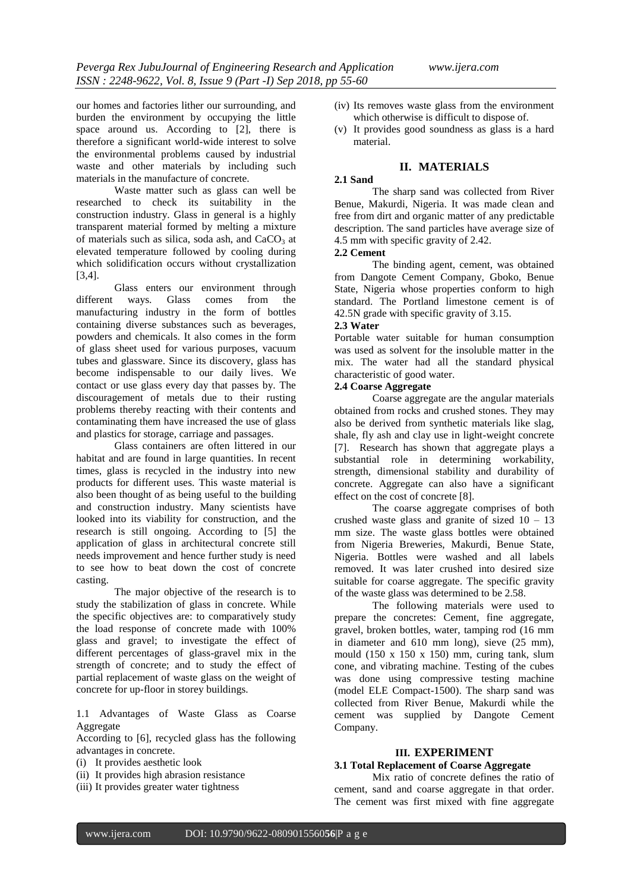our homes and factories lither our surrounding, and burden the environment by occupying the little space around us. According to [2], there is therefore a significant world-wide interest to solve the environmental problems caused by industrial waste and other materials by including such materials in the manufacture of concrete.

Waste matter such as glass can well be researched to check its suitability in the construction industry. Glass in general is a highly transparent material formed by melting a mixture of materials such as silica, soda ash, and  $CaCO<sub>3</sub>$  at elevated temperature followed by cooling during which solidification occurs without crystallization [3,4].

Glass enters our environment through different ways. Glass comes from the manufacturing industry in the form of bottles containing diverse substances such as beverages, powders and chemicals. It also comes in the form of glass sheet used for various purposes, vacuum tubes and glassware. Since its discovery, glass has become indispensable to our daily lives. We contact or use glass every day that passes by. The discouragement of metals due to their rusting problems thereby reacting with their contents and contaminating them have increased the use of glass and plastics for storage, carriage and passages.

Glass containers are often littered in our habitat and are found in large quantities. In recent times, glass is recycled in the industry into new products for different uses. This waste material is also been thought of as being useful to the building and construction industry. Many scientists have looked into its viability for construction, and the research is still ongoing. According to [5] the application of glass in architectural concrete still needs improvement and hence further study is need to see how to beat down the cost of concrete casting.

The major objective of the research is to study the stabilization of glass in concrete. While the specific objectives are: to comparatively study the load response of concrete made with 100% glass and gravel; to investigate the effect of different percentages of glass-gravel mix in the strength of concrete; and to study the effect of partial replacement of waste glass on the weight of concrete for up-floor in storey buildings.

1.1 Advantages of Waste Glass as Coarse Aggregate

According to [6], recycled glass has the following advantages in concrete.

- (i) It provides aesthetic look
- (ii) It provides high abrasion resistance
- (iii) It provides greater water tightness
- (iv) Its removes waste glass from the environment which otherwise is difficult to dispose of.
- (v) It provides good soundness as glass is a hard material.

# **II. MATERIALS**

# **2.1 Sand**

The sharp sand was collected from River Benue, Makurdi, Nigeria. It was made clean and free from dirt and organic matter of any predictable description. The sand particles have average size of 4.5 mm with specific gravity of 2.42.

# **2.2 Cement**

The binding agent, cement, was obtained from Dangote Cement Company, Gboko, Benue State, Nigeria whose properties conform to high standard. The Portland limestone cement is of 42.5N grade with specific gravity of 3.15.

# **2.3 Water**

Portable water suitable for human consumption was used as solvent for the insoluble matter in the mix. The water had all the standard physical characteristic of good water.

# **2.4 Coarse Aggregate**

Coarse aggregate are the angular materials obtained from rocks and crushed stones. They may also be derived from synthetic materials like slag, shale, fly ash and clay use in light-weight concrete [7]. Research has shown that aggregate plays a substantial role in determining workability, strength, dimensional stability and durability of concrete. Aggregate can also have a significant effect on the cost of concrete [8].

The coarse aggregate comprises of both crushed waste glass and granite of sized  $10 - 13$ mm size. The waste glass bottles were obtained from Nigeria Breweries, Makurdi, Benue State, Nigeria. Bottles were washed and all labels removed. It was later crushed into desired size suitable for coarse aggregate. The specific gravity of the waste glass was determined to be 2.58.

The following materials were used to prepare the concretes: Cement, fine aggregate, gravel, broken bottles, water, tamping rod (16 mm in diameter and 610 mm long), sieve (25 mm), mould (150 x 150 x 150) mm, curing tank, slum cone, and vibrating machine. Testing of the cubes was done using compressive testing machine (model ELE Compact-1500). The sharp sand was collected from River Benue, Makurdi while the cement was supplied by Dangote Cement Company.

# **III. EXPERIMENT**

# **3.1 Total Replacement of Coarse Aggregate**

Mix ratio of concrete defines the ratio of cement, sand and coarse aggregate in that order. The cement was first mixed with fine aggregate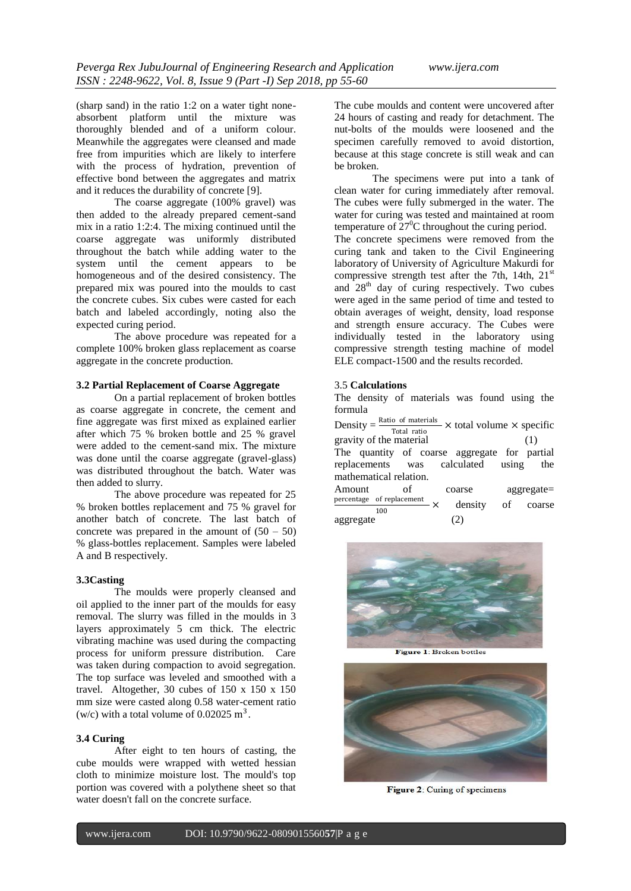(sharp sand) in the ratio 1:2 on a water tight noneabsorbent platform until the mixture was thoroughly blended and of a uniform colour. Meanwhile the aggregates were cleansed and made free from impurities which are likely to interfere with the process of hydration, prevention of effective bond between the aggregates and matrix and it reduces the durability of concrete [9].

The coarse aggregate (100% gravel) was then added to the already prepared cement-sand mix in a ratio 1:2:4. The mixing continued until the coarse aggregate was uniformly distributed throughout the batch while adding water to the system until the cement appears to be homogeneous and of the desired consistency. The prepared mix was poured into the moulds to cast the concrete cubes. Six cubes were casted for each batch and labeled accordingly, noting also the expected curing period.

The above procedure was repeated for a complete 100% broken glass replacement as coarse aggregate in the concrete production.

### **3.2 Partial Replacement of Coarse Aggregate**

On a partial replacement of broken bottles as coarse aggregate in concrete, the cement and fine aggregate was first mixed as explained earlier after which 75 % broken bottle and 25 % gravel were added to the cement-sand mix. The mixture was done until the coarse aggregate (gravel-glass) was distributed throughout the batch. Water was then added to slurry.

The above procedure was repeated for 25 % broken bottles replacement and 75 % gravel for another batch of concrete. The last batch of concrete was prepared in the amount of  $(50 - 50)$ % glass-bottles replacement. Samples were labeled A and B respectively.

# **3.3Casting**

The moulds were properly cleansed and oil applied to the inner part of the moulds for easy removal. The slurry was filled in the moulds in 3 layers approximately 5 cm thick. The electric vibrating machine was used during the compacting process for uniform pressure distribution. Care was taken during compaction to avoid segregation. The top surface was leveled and smoothed with a travel. Altogether, 30 cubes of 150 x 150 x 150 mm size were casted along 0.58 water-cement ratio (w/c) with a total volume of  $0.02025 \text{ m}^3$ .

#### **3.4 Curing**

After eight to ten hours of casting, the cube moulds were wrapped with wetted hessian cloth to minimize moisture lost. The mould's top portion was covered with a polythene sheet so that water doesn't fall on the concrete surface.

The cube moulds and content were uncovered after 24 hours of casting and ready for detachment. The nut-bolts of the moulds were loosened and the specimen carefully removed to avoid distortion, because at this stage concrete is still weak and can be broken.

The specimens were put into a tank of clean water for curing immediately after removal. The cubes were fully submerged in the water. The water for curing was tested and maintained at room temperature of  $27^{\circ}$ C throughout the curing period. The concrete specimens were removed from the curing tank and taken to the Civil Engineering laboratory of University of Agriculture Makurdi for compressive strength test after the 7th, 14th,  $21<sup>st</sup>$ and  $28<sup>th</sup>$  day of curing respectively. Two cubes were aged in the same period of time and tested to obtain averages of weight, density, load response and strength ensure accuracy. The Cubes were individually tested in the laboratory using compressive strength testing machine of model ELE compact-1500 and the results recorded.

#### 3.5 **Calculations**

The density of materials was found using the formula

Density =  $\frac{\text{Ratio of materials}}{\text{Total units}} \times \text{total volume} \times \text{specific}$ Total ratio gravity of the material (1) The quantity of coarse aggregate for partial replacements was calculated using the mathematical relation. Amount of coarse aggregate= percentage of replacement  $\times$ 100 density of coarse aggregate (2)



Figure 1: Broken bottles



Figure 2: Curing of specimens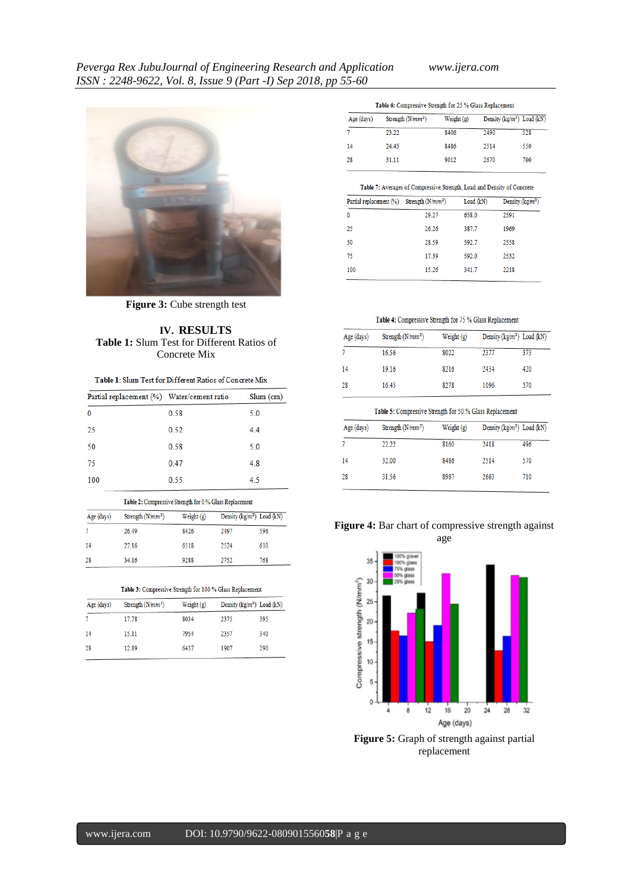

**Figure 3: Cube strength test** 

# **IV. RESULTS Table 1:** Slum Test for Different Ratios of Concrete Mix

| <b>Table 1: Slum Test for Different Ratios of Concrete Mix</b> |  |
|----------------------------------------------------------------|--|
|----------------------------------------------------------------|--|

| Partial replacement (%) Water/cement ratio |      | $Slum$ (cm) |
|--------------------------------------------|------|-------------|
| $\mathbf{0}$                               | 0.58 | 5.0         |
| 25                                         | 0.52 | 4.4         |
| 50                                         | 0.58 | 5.0         |
| 75                                         | 0.47 | 4.8         |
| 100                                        | 0.55 | 4.5         |

#### Table 2: Compressive Strength for 0 % Glass Replacement

| Age (days) | Strength $(N/mm^2)$ | Weight $(g)$<br>8426 | Density (kg/m <sup>3</sup> ) Load (kN) |     |
|------------|---------------------|----------------------|----------------------------------------|-----|
|            | 26.49               |                      | 2497                                   | 596 |
| 14         | 27.16               | 6518                 | 2524                                   | 610 |
| 28         | 34.16               | 9288                 | 2752                                   | 768 |

#### Table 3: Compressive Strength for 100 % Glass Replacement

| Strength $(N/mm^2)$ | Weight $(g)$ | Density ( $kg/m3$ ) Load ( $kN$ ) |     |
|---------------------|--------------|-----------------------------------|-----|
| 17.78               | 8034         | 2375                              | 395 |
| 15.11               | 7954         | 2357                              | 340 |
| 12.89               | 6437         | 1907                              | 290 |
|                     |              |                                   |     |

| Table 6: Compressive Strength for 25 % Glass Replacement |  |
|----------------------------------------------------------|--|
|----------------------------------------------------------|--|

| Age (days) | Strength $(N/mm^2)$ | Weight $(g)$ |      | Density (kg/m <sup>3</sup> ) Load (kN) |
|------------|---------------------|--------------|------|----------------------------------------|
|            | 23.22               | 8406         | 2490 | 528                                    |
| 14         | 24.45               | 8486         | 2514 | 550                                    |
| 28         | 31.11               | 9012         | 2670 | 700                                    |

#### Table 7: Averages of Compressive Strength, Load and Density of Concrete

| Partial replacement (%) Strength (N/mm <sup>2</sup> ) |       | Load (kN) | Density ( $kg/m^3$ ) |
|-------------------------------------------------------|-------|-----------|----------------------|
| $\bf{0}$                                              | 29.27 | 658.0     | 2591                 |
| 25                                                    | 26.26 | 387.7     | 1969                 |
| 50                                                    | 28.59 | 592.7     | 2558                 |
| 75                                                    | 17.39 | 592.0     | 2532                 |
| 100                                                   | 15.26 | 341.7     | 2218                 |

# Table 4: Compressive Strength for 75 % Glass Replacement

| Age (days) | Weight (g)<br>Strength $(N/mm^2)$ |      | Density ( $kg/m^2$ ) Load (kN) |     |
|------------|-----------------------------------|------|--------------------------------|-----|
|            | 16.56                             | 8022 | 2377                           | 373 |
| 14         | 19.16                             | 8216 | 2434                           | 420 |
| 28         | 16.45                             | 8278 | 1096                           | 370 |

# Table 5: Compressive Strength for 50  $\%$  Glass Replacement

| Age (days) | Strength $(N/mm^2)$ | Weight (g) | Density ( $kg/m^2$ ) Load (kN) |     |
|------------|---------------------|------------|--------------------------------|-----|
|            | 22.22               | 8160       | 2418                           | 496 |
| 14         | 32.00               | 8486       | 2514                           | 570 |
| 28         | 31.56               | 8987       | 2663                           | 710 |

# **Figure 4:** Bar chart of compressive strength against age



**Figure 5:** Graph of strength against partial replacement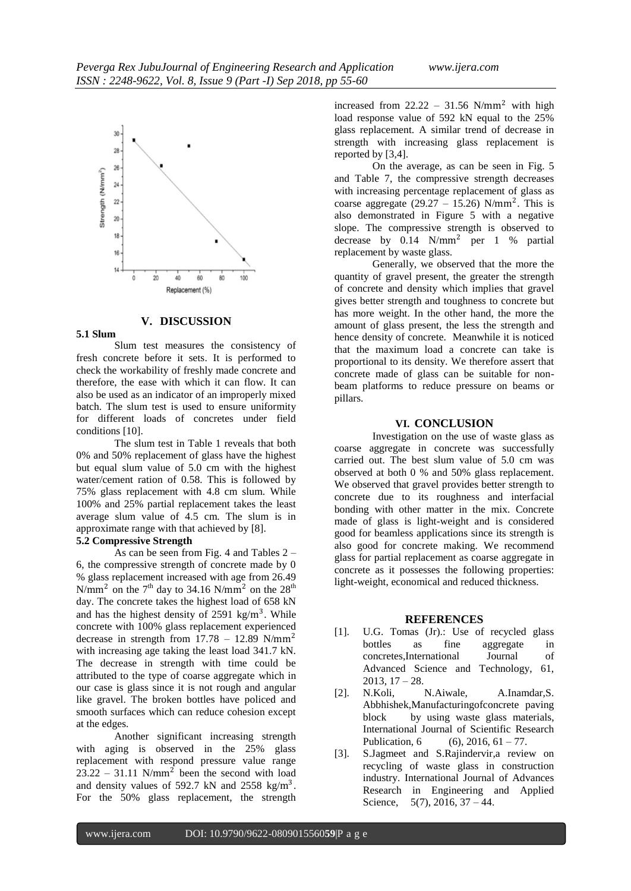

# **V. DISCUSSION**

# **5.1 Slum**

Slum test measures the consistency of fresh concrete before it sets. It is performed to check the workability of freshly made concrete and therefore, the ease with which it can flow. It can also be used as an indicator of an improperly mixed batch. The slum test is used to ensure uniformity for different loads of concretes under field conditions [10].

The slum test in Table 1 reveals that both 0% and 50% replacement of glass have the highest but equal slum value of 5.0 cm with the highest water/cement ration of 0.58. This is followed by 75% glass replacement with 4.8 cm slum. While 100% and 25% partial replacement takes the least average slum value of 4.5 cm. The slum is in approximate range with that achieved by [8].

# **5.2 Compressive Strength**

As can be seen from Fig. 4 and Tables 2 – 6, the compressive strength of concrete made by 0 % glass replacement increased with age from 26.49 N/mm<sup>2</sup> on the 7<sup>th</sup> day to 34.16 N/mm<sup>2</sup> on the 28<sup>th</sup> day. The concrete takes the highest load of 658 kN and has the highest density of  $2591 \text{ kg/m}^3$ . While concrete with 100% glass replacement experienced decrease in strength from  $17.78 - 12.89$  N/mm<sup>2</sup> with increasing age taking the least load 341.7 kN. The decrease in strength with time could be attributed to the type of coarse aggregate which in our case is glass since it is not rough and angular like gravel. The broken bottles have policed and smooth surfaces which can reduce cohesion except at the edges.

Another significant increasing strength with aging is observed in the 25% glass replacement with respond pressure value range  $23.22 - 31.11$  N/mm<sup>2</sup> been the second with load and density values of 592.7 kN and 2558 kg/m<sup>3</sup>. For the 50% glass replacement, the strength

increased from  $22.22 - 31.56$  N/mm<sup>2</sup> with high load response value of 592 kN equal to the 25% glass replacement. A similar trend of decrease in strength with increasing glass replacement is reported by [3,4].

On the average, as can be seen in Fig. 5 and Table 7, the compressive strength decreases with increasing percentage replacement of glass as coarse aggregate  $(29.27 - 15.26)$  N/mm<sup>2</sup>. This is also demonstrated in Figure 5 with a negative slope. The compressive strength is observed to decrease by  $0.14$  N/mm<sup>2</sup> per 1 % partial replacement by waste glass.

Generally, we observed that the more the quantity of gravel present, the greater the strength of concrete and density which implies that gravel gives better strength and toughness to concrete but has more weight. In the other hand, the more the amount of glass present, the less the strength and hence density of concrete. Meanwhile it is noticed that the maximum load a concrete can take is proportional to its density. We therefore assert that concrete made of glass can be suitable for nonbeam platforms to reduce pressure on beams or pillars.

# **VI. CONCLUSION**

Investigation on the use of waste glass as coarse aggregate in concrete was successfully carried out. The best slum value of 5.0 cm was observed at both 0 % and 50% glass replacement. We observed that gravel provides better strength to concrete due to its roughness and interfacial bonding with other matter in the mix. Concrete made of glass is light-weight and is considered good for beamless applications since its strength is also good for concrete making. We recommend glass for partial replacement as coarse aggregate in concrete as it possesses the following properties: light-weight, economical and reduced thickness.

#### **REFERENCES**

- [1]. U.G. Tomas (Jr).: Use of recycled glass bottles as fine aggregate in concretes,International Journal of Advanced Science and Technology, 61,  $2013, 17 - 28.$
- [2]. N.Koli, N.Aiwale, A.Inamdar,S. Abbhishek,Manufacturingofconcrete paving block by using waste glass materials, International Journal of Scientific Research Publication, 6 (6), 2016,  $61 - 77$ .
- [3]. S.Jagmeet and S.Rajindervir,a review on recycling of waste glass in construction industry. International Journal of Advances Research in Engineering and Applied Science, 5(7), 2016, 37 – 44.